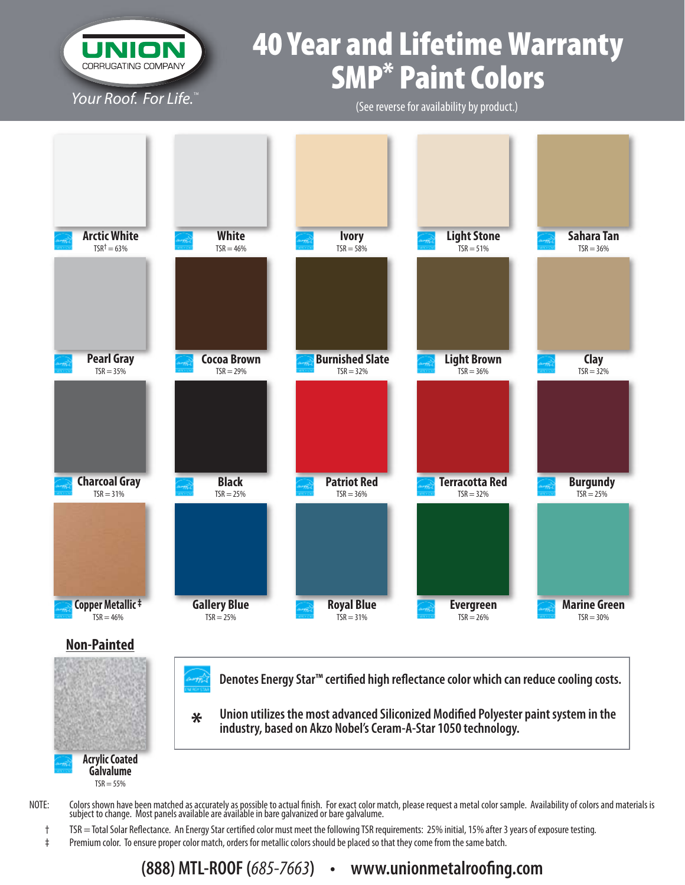

**Galvalume**  $TSR = 55%$ 

# 40 Year and Lifetime Warranty SMP\* Paint Colors

(See reverse for availability by product.)



- NOTE: Colors shown have been matched as accurately as possible to actual finish. For exact color match, please request a metal color sample. Availability of colors and materials is subject to change. Most panels available are available in bare galvanized or bare galvalume.
	- $\dagger$  TSR = Total Solar Reflectance. An Energy Star certified color must meet the following TSR requirements: 25% initial, 15% after 3 years of exposure testing.
	- ‡ Premium color. To ensure proper color match, orders for metallic colors should be placed so that they come from the same batch.

# **(888) MTL-ROOF (685-7663) • www.unionmetalroofing.com**